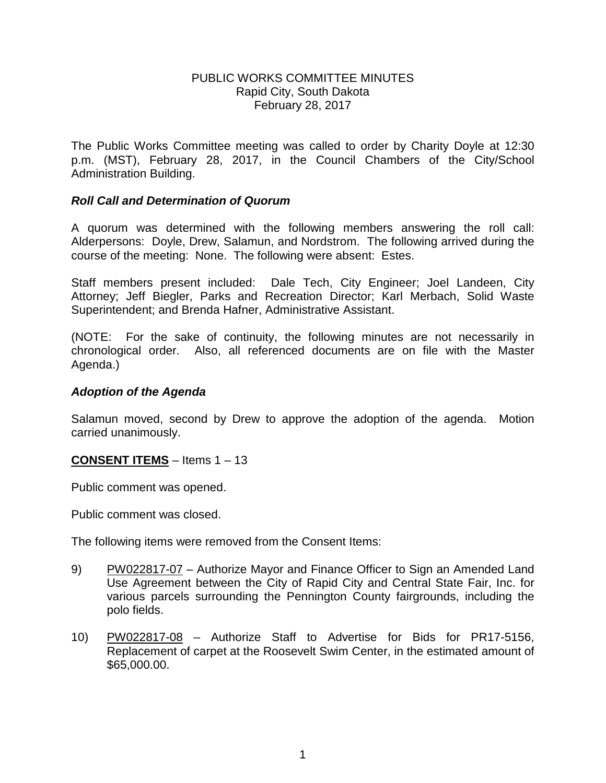### PUBLIC WORKS COMMITTEE MINUTES Rapid City, South Dakota February 28, 2017

The Public Works Committee meeting was called to order by Charity Doyle at 12:30 p.m. (MST), February 28, 2017, in the Council Chambers of the City/School Administration Building.

## *Roll Call and Determination of Quorum*

A quorum was determined with the following members answering the roll call: Alderpersons: Doyle, Drew, Salamun, and Nordstrom. The following arrived during the course of the meeting: None. The following were absent: Estes.

Staff members present included: Dale Tech, City Engineer; Joel Landeen, City Attorney; Jeff Biegler, Parks and Recreation Director; Karl Merbach, Solid Waste Superintendent; and Brenda Hafner, Administrative Assistant.

(NOTE: For the sake of continuity, the following minutes are not necessarily in chronological order. Also, all referenced documents are on file with the Master Agenda.)

### *Adoption of the Agenda*

Salamun moved, second by Drew to approve the adoption of the agenda. Motion carried unanimously.

#### **CONSENT ITEMS** – Items 1 – 13

Public comment was opened.

Public comment was closed.

The following items were removed from the Consent Items:

- 9) PW022817-07 Authorize Mayor and Finance Officer to Sign an Amended Land Use Agreement between the City of Rapid City and Central State Fair, Inc. for various parcels surrounding the Pennington County fairgrounds, including the polo fields.
- 10) PW022817-08 Authorize Staff to Advertise for Bids for PR17-5156, Replacement of carpet at the Roosevelt Swim Center, in the estimated amount of \$65,000.00.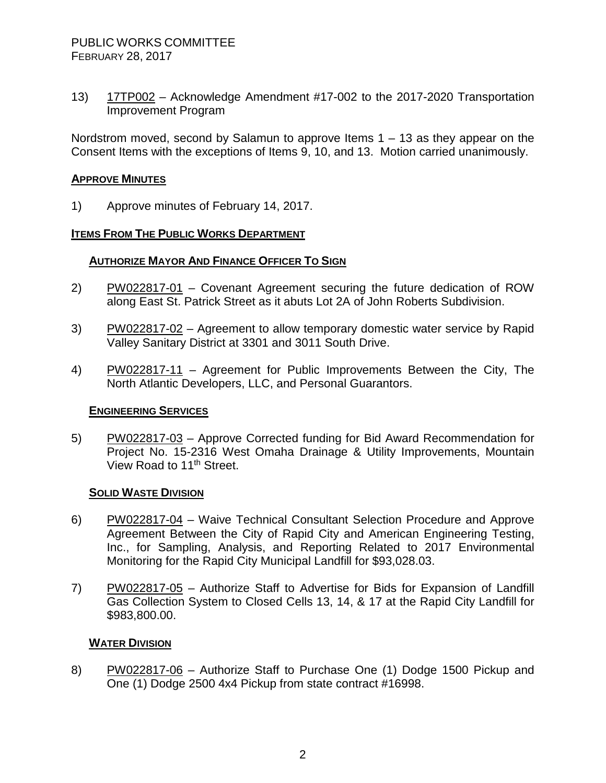13) 17TP002 – Acknowledge Amendment #17-002 to the 2017-2020 Transportation Improvement Program

Nordstrom moved, second by Salamun to approve Items 1 – 13 as they appear on the Consent Items with the exceptions of Items 9, 10, and 13. Motion carried unanimously.

## **APPROVE MINUTES**

1) Approve minutes of February 14, 2017.

#### **ITEMS FROM THE PUBLIC WORKS DEPARTMENT**

#### **AUTHORIZE MAYOR AND FINANCE OFFICER TO SIGN**

- 2) PW022817-01 Covenant Agreement securing the future dedication of ROW along East St. Patrick Street as it abuts Lot 2A of John Roberts Subdivision.
- 3) PW022817-02 Agreement to allow temporary domestic water service by Rapid Valley Sanitary District at 3301 and 3011 South Drive.
- 4) PW022817-11 Agreement for Public Improvements Between the City, The North Atlantic Developers, LLC, and Personal Guarantors.

#### **ENGINEERING SERVICES**

5) PW022817-03 – Approve Corrected funding for Bid Award Recommendation for Project No. 15-2316 West Omaha Drainage & Utility Improvements, Mountain View Road to 11<sup>th</sup> Street.

#### **SOLID WASTE DIVISION**

- 6) PW022817-04 Waive Technical Consultant Selection Procedure and Approve Agreement Between the City of Rapid City and American Engineering Testing, Inc., for Sampling, Analysis, and Reporting Related to 2017 Environmental Monitoring for the Rapid City Municipal Landfill for \$93,028.03.
- 7) PW022817-05 Authorize Staff to Advertise for Bids for Expansion of Landfill Gas Collection System to Closed Cells 13, 14, & 17 at the Rapid City Landfill for \$983,800.00.

#### **WATER DIVISION**

8) PW022817-06 – Authorize Staff to Purchase One (1) Dodge 1500 Pickup and One (1) Dodge 2500 4x4 Pickup from state contract #16998.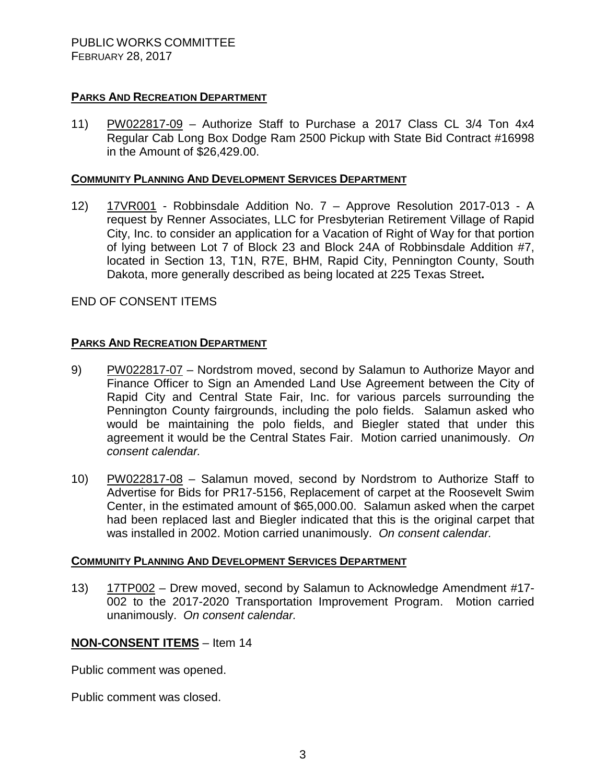# **PARKS AND RECREATION DEPARTMENT**

11) PW022817-09 – Authorize Staff to Purchase a 2017 Class CL 3/4 Ton 4x4 Regular Cab Long Box Dodge Ram 2500 Pickup with State Bid Contract #16998 in the Amount of \$26,429.00.

### **COMMUNITY PLANNING AND DEVELOPMENT SERVICES DEPARTMENT**

12) 17VR001 - Robbinsdale Addition No. 7 – Approve Resolution 2017-013 - A request by Renner Associates, LLC for Presbyterian Retirement Village of Rapid City, Inc. to consider an application for a Vacation of Right of Way for that portion of lying between Lot 7 of Block 23 and Block 24A of Robbinsdale Addition #7, located in Section 13, T1N, R7E, BHM, Rapid City, Pennington County, South Dakota, more generally described as being located at 225 Texas Street**.**

# END OF CONSENT ITEMS

# **PARKS AND RECREATION DEPARTMENT**

- 9) PW022817-07 Nordstrom moved, second by Salamun to Authorize Mayor and Finance Officer to Sign an Amended Land Use Agreement between the City of Rapid City and Central State Fair, Inc. for various parcels surrounding the Pennington County fairgrounds, including the polo fields. Salamun asked who would be maintaining the polo fields, and Biegler stated that under this agreement it would be the Central States Fair. Motion carried unanimously. *On consent calendar.*
- 10) PW022817-08 Salamun moved, second by Nordstrom to Authorize Staff to Advertise for Bids for PR17-5156, Replacement of carpet at the Roosevelt Swim Center, in the estimated amount of \$65,000.00. Salamun asked when the carpet had been replaced last and Biegler indicated that this is the original carpet that was installed in 2002. Motion carried unanimously. *On consent calendar.*

#### **COMMUNITY PLANNING AND DEVELOPMENT SERVICES DEPARTMENT**

13) 17TP002 – Drew moved, second by Salamun to Acknowledge Amendment #17- 002 to the 2017-2020 Transportation Improvement Program. Motion carried unanimously. *On consent calendar.*

# **NON-CONSENT ITEMS** – Item 14

Public comment was opened.

Public comment was closed.